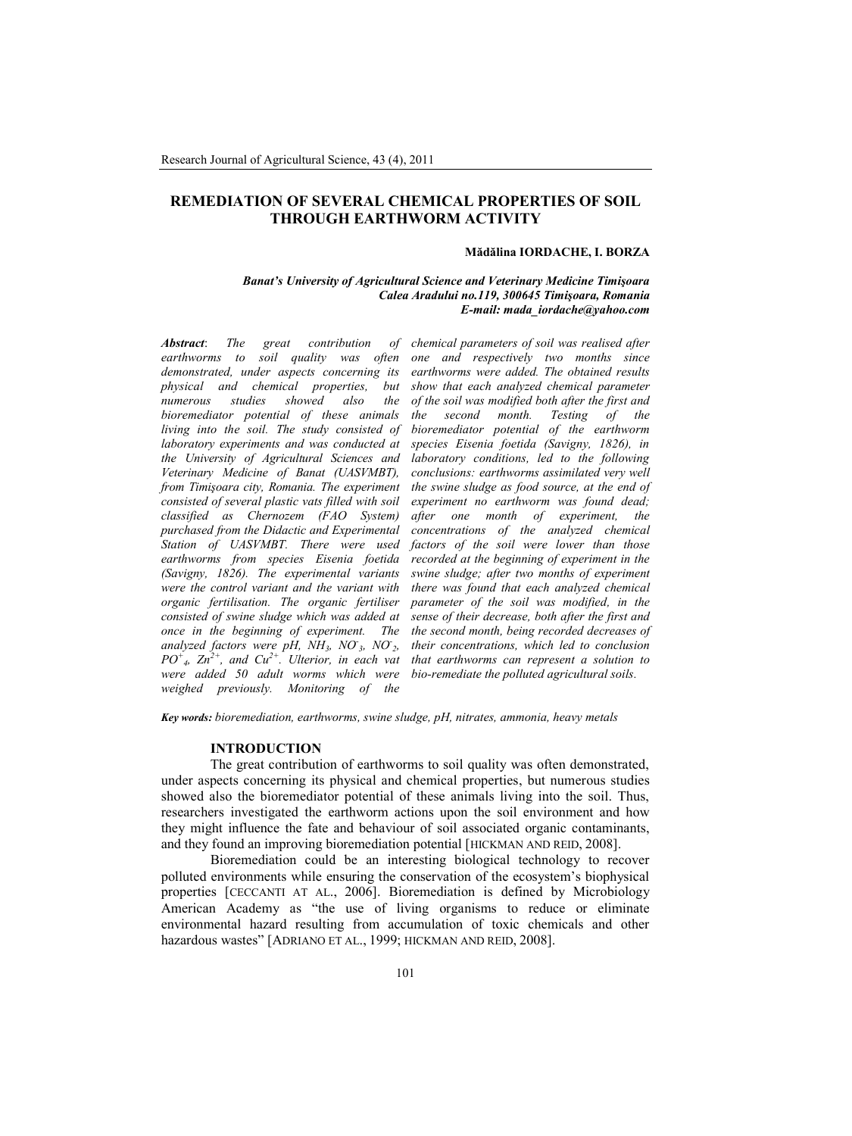# **REMEDIATION OF SEVERAL CHEMICAL PROPERTIES OF SOIL THROUGH EARTHWORM ACTIVITY**

### **Mădălina IORDACHE, I. BORZA**

### *Banat's University of Agricultural Science and Veterinary Medicine Timişoara Calea Aradului no.119, 300645 Timişoara, Romania E-mail: mada\_iordache@yahoo.com*

*Abstract*: *The great contribution of earthworms to soil quality was often demonstrated, under aspects concerning its physical and chemical properties, but numerous studies showed also the bioremediator potential of these animals living into the soil. The study consisted of laboratory experiments and was conducted at the University of Agricultural Sciences and Veterinary Medicine of Banat (UASVMBT), from Timişoara city, Romania. The experiment consisted of several plastic vats filled with soil classified as Chernozem (FAO System) purchased from the Didactic and Experimental Station of UASVMBT. There were used earthworms from species Eisenia foetida (Savigny, 1826). The experimental variants were the control variant and the variant with organic fertilisation. The organic fertiliser consisted of swine sludge which was added at once in the beginning of experiment. The the second month, being recorded decreases of*  $and$ *yzed factors were pH, NH*<sub>3</sub>, NO<sub>3</sub>, NO<sub>2</sub> *PO<sup>+</sup> 4 , Zn2+, and Cu2+. Ulterior, in each vat were added 50 adult worms which were bio-remediate the polluted agricultural soils. weighed previously. Monitoring of the*

*chemical parameters of soil was realised after one and respectively two months since earthworms were added. The obtained results show that each analyzed chemical parameter of the soil was modified both after the first and the second month. Testing of the bioremediator potential of the earthworm species Eisenia foetida (Savigny, 1826), in laboratory conditions, led to the following conclusions: earthworms assimilated very well the swine sludge as food source, at the end of experiment no earthworm was found dead; after one month of experiment, the concentrations of the analyzed chemical factors of the soil were lower than those recorded at the beginning of experiment in the swine sludge; after two months of experiment there was found that each analyzed chemical parameter of the soil was modified, in the sense of their decrease, both after the first and their concentrations, which led to conclusion that earthworms can represent a solution to*

*Key words: bioremediation, earthworms, swine sludge, pH, nitrates, ammonia, heavy metals*

#### **INTRODUCTION**

The great contribution of earthworms to soil quality was often demonstrated, under aspects concerning its physical and chemical properties, but numerous studies showed also the bioremediator potential of these animals living into the soil. Thus, researchers investigated the earthworm actions upon the soil environment and how they might influence the fate and behaviour of soil associated organic contaminants, and they found an improving bioremediation potential [HICKMAN AND REID, 2008].

Bioremediation could be an interesting biological technology to recover polluted environments while ensuring the conservation of the ecosystem's biophysical properties [CECCANTI AT AL., 2006]. Bioremediation is defined by Microbiology American Academy as "the use of living organisms to reduce or eliminate environmental hazard resulting from accumulation of toxic chemicals and other hazardous wastes" [ADRIANO ET AL., 1999; HICKMAN AND REID, 2008].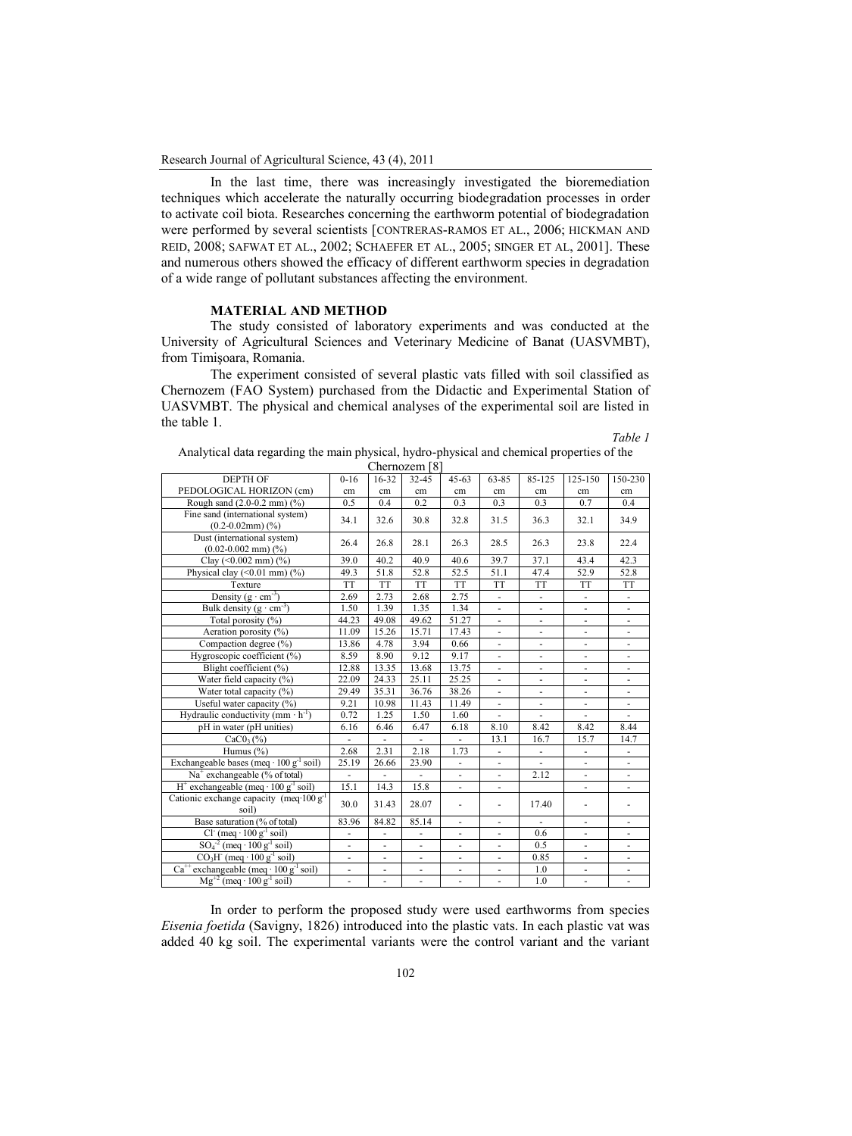In the last time, there was increasingly investigated the bioremediation techniques which accelerate the naturally occurring biodegradation processes in order to activate coil biota. Researches concerning the earthworm potential of biodegradation were performed by several scientists [CONTRERAS-RAMOS ET AL., 2006; HICKMAN AND REID, 2008; SAFWAT ET AL., 2002; SCHAEFER ET AL., 2005; SINGER ET AL, 2001]. These and numerous others showed the efficacy of different earthworm species in degradation of a wide range of pollutant substances affecting the environment.

### **MATERIAL AND METHOD**

Exchangeable bases (meq ⋅ 100 g<sup>-1</sup> soil)

Cationic exchange capacity (meq∙100 g-1

H + exchangeable (meq ∙ 100 g-1

Cl<sup>-</sup> (meq ∙ 100 g<sup>-1</sup>

 $SO_4^2$  (meq ⋅ 100 g<sup>-1</sup>

 $CO<sub>3</sub>H<sup>-</sup>$  (meq ∙ 100 g<sup>-1</sup>

 $Ca^{++}$  exchangeable (meq ⋅ 100 g<sup>-1</sup> soil)

Mg<sup>+2</sup> (meq ⋅ 100 g<sup>-1</sup> soil)

The study consisted of laboratory experiments and was conducted at the University of Agricultural Sciences and Veterinary Medicine of Banat (UASVMBT), from Timişoara, Romania.

The experiment consisted of several plastic vats filled with soil classified as Chernozem (FAO System) purchased from the Didactic and Experimental Station of UASVMBT. The physical and chemical analyses of the experimental soil are listed in the table 1.

*Table 1*

|                                                               |          |           | Chernozem [8] |           |           |           |                          |           |
|---------------------------------------------------------------|----------|-----------|---------------|-----------|-----------|-----------|--------------------------|-----------|
| <b>DEPTH OF</b>                                               | $0 - 16$ | $16 - 32$ | 32-45         | $45 - 63$ | 63-85     | 85-125    | 125-150                  | 150-230   |
| PEDOLOGICAL HORIZON (cm)                                      | cm       | cm        | cm            | cm        | cm        | cm        | cm                       | cm        |
| Rough sand $(2.0-0.2 \text{ mm})$ $(\%)$                      | 0.5      | 0.4       | 0.2           | 0.3       | 0.3       | 0.3       | 0.7                      | 0.4       |
| Fine sand (international system)<br>$(0.2-0.02$ mm $)$ $(\%)$ | 34.1     | 32.6      | 30.8          | 32.8      | 31.5      | 36.3      | 32.1                     | 34.9      |
| Dust (international system)<br>$(0.02 - 0.002$ mm $)$ $(\%)$  | 26.4     | 26.8      | 28.1          | 26.3      | 28.5      | 26.3      | 23.8                     | 22.4      |
| Clay $(<0.002$ mm $)$ $(^{9}_{0})$                            | 39.0     | 40.2      | 40.9          | 40.6      | 39.7      | 37.1      | 43.4                     | 42.3      |
| Physical clay $(\leq 0.01$ mm $)$ $(\%$ )                     | 49.3     | 51.8      | 52.8          | 52.5      | 51.1      | 47.4      | 52.9                     | 52.8      |
| Texture                                                       | TT       | <b>TT</b> | <b>TT</b>     | <b>TT</b> | <b>TT</b> | <b>TT</b> | TT                       | <b>TT</b> |
| Density $(g \cdot cm^{-3})$                                   | 2.69     | 2.73      | 2.68          | 2.75      | ä,        | ٠         | ٠                        | ٠         |
| Bulk density $(g \cdot cm^{-3})$                              | 1.50     | 1.39      | 1.35          | 1.34      | ä,        | ÷         | $\overline{\phantom{a}}$ | ٠         |
| Total porosity (%)                                            | 44.23    | 49.08     | 49.62         | 51.27     | ٠         | ٠         | ٠                        | ٠         |
| Aeration porosity $(\%)$                                      | 11.09    | 15.26     | 15.71         | 17.43     | ä,        | ÷         | ٠                        | ٠         |
| Compaction degree (%)                                         | 13.86    | 4.78      | 3.94          | 0.66      | ٠         | ÷         | ٠                        | ٠         |
| Hygroscopic coefficient (%)                                   | 8.59     | 8.90      | 9.12          | 9.17      | ä,        | ÷         | ٠                        | ٠         |
| Blight coefficient (%)                                        | 12.88    | 13.35     | 13.68         | 13.75     | ä,        | ÷         | ٠                        | ٠         |
| Water field capacity $(\%)$                                   | 22.09    | 24.33     | 25.11         | 25.25     | ٠         | ٠         | ۰                        | ٠         |
| Water total capacity $(\%)$                                   | 29.49    | 35.31     | 36.76         | 38.26     | ä,        | ٠         | ٠                        | ٠         |
| Useful water capacity $(\%)$                                  | 9.21     | 10.98     | 11.43         | 11.49     | ٠         | ÷         | ٠                        | ٠         |
| Hydraulic conductivity (mm $\cdot$ h <sup>-1</sup> )          | 0.72     | 1.25      | 1.50          | 1.60      | ٠         | ٠         | ۰                        | ٠         |
| pH in water (pH unities)                                      | 6.16     | 6.46      | 6.47          | 6.18      | 8.10      | 8.42      | 8.42                     | 8.44      |

 $CaCO<sub>3</sub>(\%)$  - - - 13.1 16.7 15.7 14.7 Humus (%)  $2.68$  |  $2.31$  |  $2.18$  |  $1.73$  |  $-$  |  $-$  |  $-$  |  $-$ 

soil)  $30.0 \begin{bmatrix} 31.43 & 28.07 & - & 17.40 & - \ 30.0 & 31.43 & 28.07 & - \ \end{bmatrix}$ 

soil) - - - - - 0.6 - -

soil)  $\left| \begin{array}{c|c|c|c|c|c} \hline \end{array} \right|$  -  $\left| \begin{array}{c|c|c|c} \hline \end{array} \right|$  -  $\left| \begin{array}{c|c|c|c} \hline \end{array} \right|$  -  $\left| \begin{array}{c|c|c|c} \hline \end{array} \right|$  -  $\left| \begin{array}{c|c|c} \hline \end{array} \right|$  -  $\left| \begin{array}{c|c|c} \hline \end{array} \right|$ 

soil) - - - - - 0.85 - -

soil)  $\left| \begin{array}{ccccccc} - & - & - & - & - & - & 1.0 & - & - \end{array} \right|$ 

soil) - - - - - - - - 1.0 - - -

Na<sup>+</sup> exchangeable (% of total) - - - - - 2.12 - -

Base saturation (% of total) 83.96 84.82 85.14 - - - - -

soil)  $25.19$   $26.66$   $23.90$  - - - - -

soil) 15.1 14.3 15.8 - - - - - - - -

| Analytical data regarding the main physical, hydro-physical and chemical properties of the |  |
|--------------------------------------------------------------------------------------------|--|
| $\Omega$ 01                                                                                |  |

In order to perform the proposed study were used earthworms from species *Eisenia foetida* (Savigny, 1826) introduced into the plastic vats. In each plastic vat was added 40 kg soil. The experimental variants were the control variant and the variant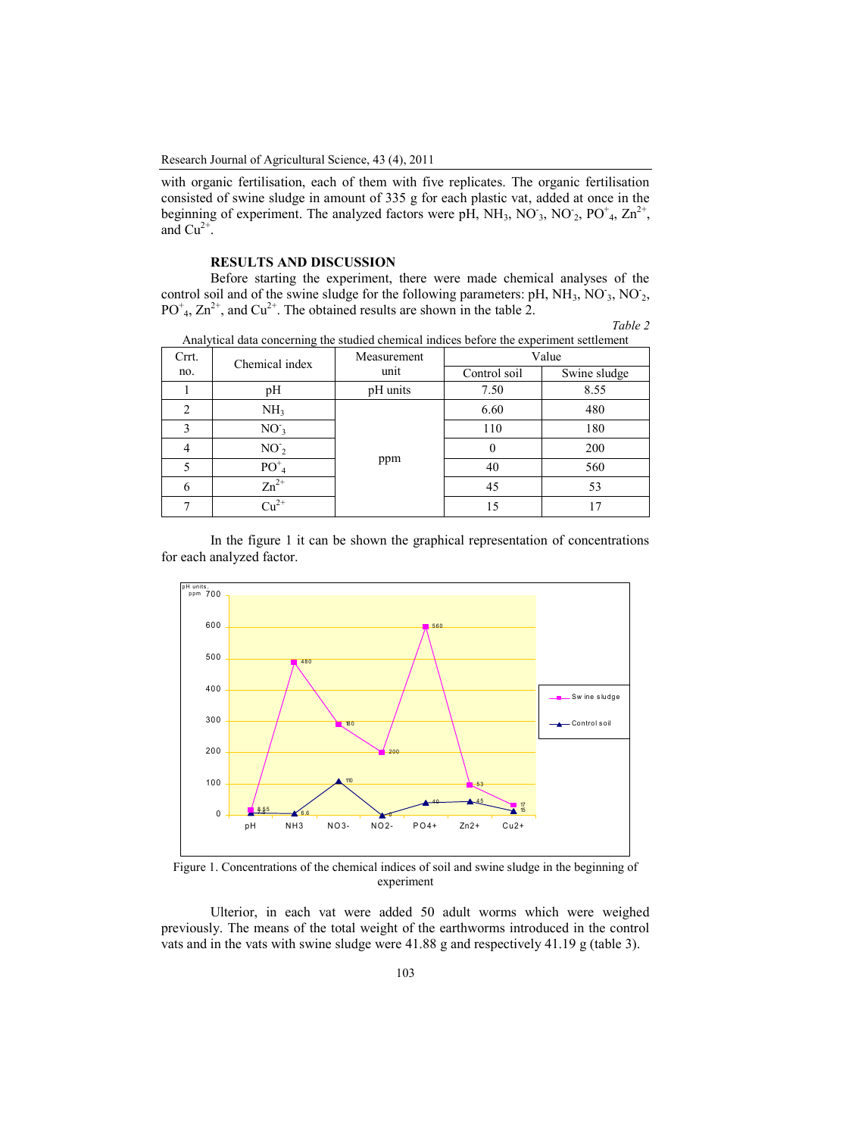with organic fertilisation, each of them with five replicates. The organic fertilisation consisted of swine sludge in amount of 335 g for each plastic vat, added at once in the beginning of experiment. The analyzed factors were pH, NH<sub>3</sub>, NO<sub>3</sub>, NO<sub>2</sub>, PO<sup>+</sup><sub>4</sub>, Zn<sup>2+</sup>, and  $Cu^{2+}$ .

## **RESULTS AND DISCUSSION**

Before starting the experiment, there were made chemical analyses of the control soil and of the swine sludge for the following parameters: pH, NH<sub>3</sub>, NO<sub>3</sub>, NO<sub>2</sub>,  $PO<sup>+</sup><sub>4</sub>, Zn<sup>2+</sup>, and Cu<sup>2+</sup>. The obtained results are shown in the table 2.$ 

| `able |  |
|-------|--|
|-------|--|

| Crrt. | Chemical index  | Measurement | Value        |              |  |
|-------|-----------------|-------------|--------------|--------------|--|
| no.   |                 | unit        | Control soil | Swine sludge |  |
|       | pH              | pH units    | 7.50         | 8.55         |  |
| 2     | NH <sub>3</sub> |             | 6.60         | 480          |  |
|       | NO <sub>3</sub> | ppm         | 110          | 180          |  |
| 4     | NO <sub>2</sub> |             | $\theta$     | 200          |  |
|       | $PO_{4}^{+}$    |             | 40           | 560          |  |
| 6     | $Zn^{2+}$       |             | 45           | 53           |  |
|       | $Cu^{2+}$       |             | 15           | 17           |  |

Analytical data concerning the studied chemical indices before the experiment settlement

In the figure 1 it can be shown the graphical representation of concentrations for each analyzed factor.



Figure 1. Concentrations of the chemical indices of soil and swine sludge in the beginning of experiment

Ulterior, in each vat were added 50 adult worms which were weighed previously. The means of the total weight of the earthworms introduced in the control vats and in the vats with swine sludge were 41.88 g and respectively 41.19 g (table 3).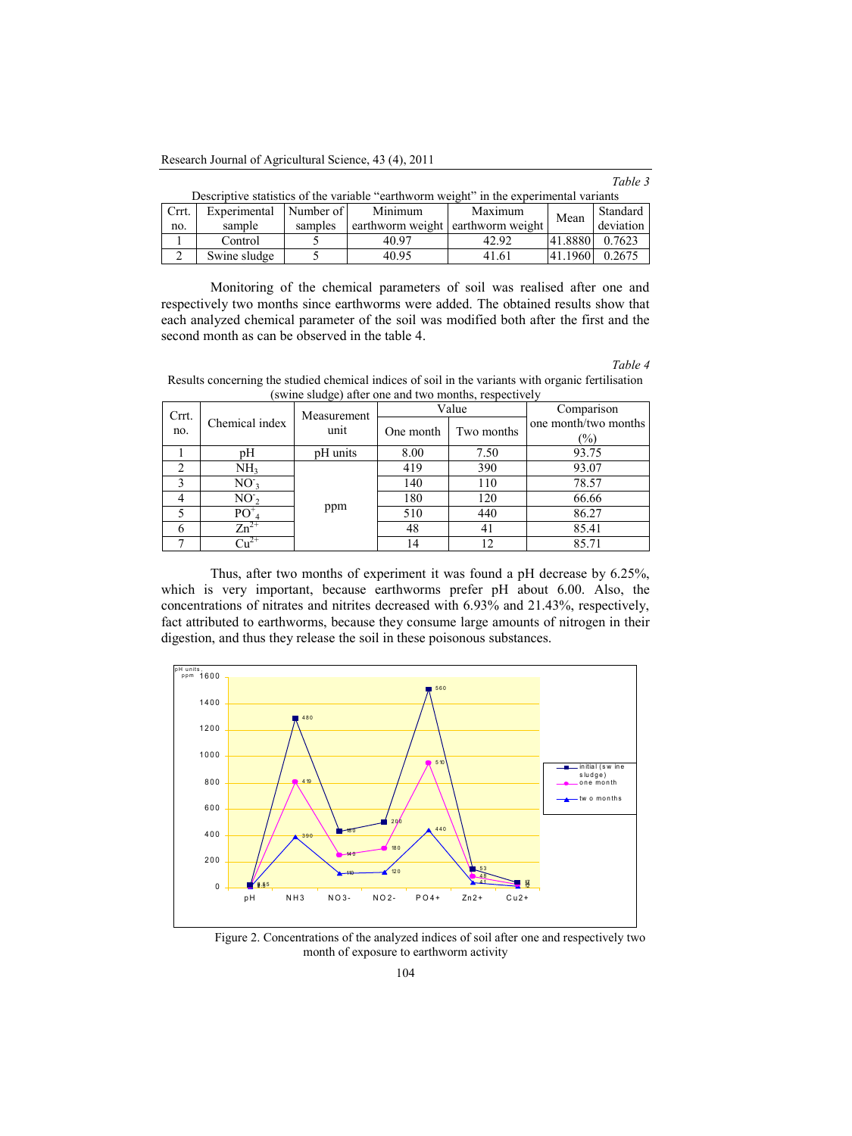Research Journal of Agricultural Science, 43 (4), 2011

|       | Descriptive statistics of the variable "earthworm weight" in the experimental variants |         |                                   |         |         |           |  |  |
|-------|----------------------------------------------------------------------------------------|---------|-----------------------------------|---------|---------|-----------|--|--|
| Crrt. | Experimental Number of                                                                 |         | Minimum                           | Maximum | Mean    | Standard  |  |  |
| no.   | sample                                                                                 | samples | earthworm weight earthworm weight |         |         | deviation |  |  |
|       | Control                                                                                |         | 40.97                             | 42.92   | 41.8880 | 0.7623    |  |  |
|       | Swine sludge                                                                           |         | 40.95                             | 41.61   | 41.1960 | 0.2675    |  |  |

| Descriptive statistics of the variable "earthworm weight" in the experimental variants |  |  |
|----------------------------------------------------------------------------------------|--|--|
|                                                                                        |  |  |
|                                                                                        |  |  |

Monitoring of the chemical parameters of soil was realised after one and respectively two months since earthworms were added. The obtained results show that each analyzed chemical parameter of the soil was modified both after the first and the second month as can be observed in the table 4.

*Table 4*

*Table 3*

Results concerning the studied chemical indices of soil in the variants with organic fertilisation (swine sludge) after one and two months, respectively

| Crrt. |                       | Measurement |           | Value      | Comparison                  |
|-------|-----------------------|-------------|-----------|------------|-----------------------------|
| no.   | Chemical index        | unit        | One month | Two months | one month/two months<br>(%) |
|       | pН                    | pH units    | 8.00      | 7.50       | 93.75                       |
|       | NH <sub>3</sub>       | ppm         | 419       | 390        | 93.07                       |
|       | $NO_{3}$              |             | 140       | 110        | 78.57                       |
|       | NO <sub>2</sub>       |             | 180       | 120        | 66.66                       |
|       | $\mathrm{PO}^+_{\ 4}$ |             | 510       | 440        | 86.27                       |
|       | $Zn^{2+}$             |             | 48        | 41         | 85.41                       |
|       |                       |             | 14        | 12         | 85.71                       |

Thus, after two months of experiment it was found a pH decrease by 6.25%, which is very important, because earthworms prefer pH about 6.00. Also, the concentrations of nitrates and nitrites decreased with 6.93% and 21.43%, respectively, fact attributed to earthworms, because they consume large amounts of nitrogen in their digestion, and thus they release the soil in these poisonous substances.



Figure 2. Concentrations of the analyzed indices of soil after one and respectively two month of exposure to earthworm activity